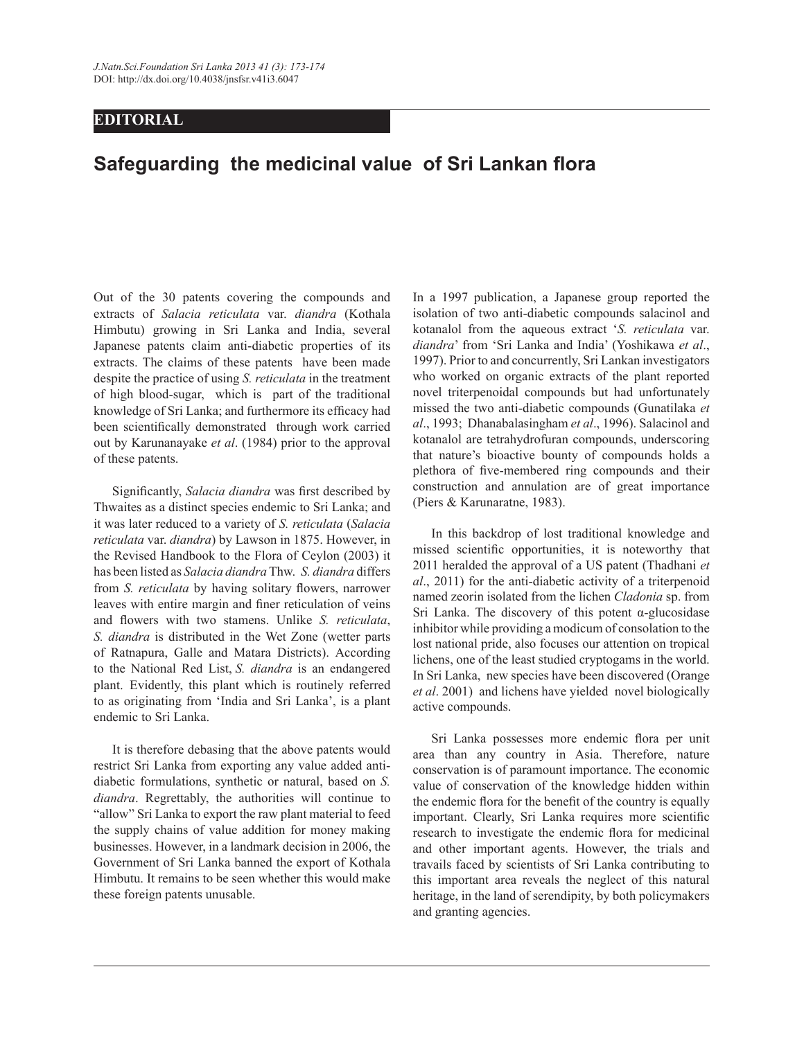## **EDITORIAL**

## **Safeguarding the medicinal value of Sri Lankan flora**

Out of the 30 patents covering the compounds and extracts of *Salacia reticulata* var. *diandra* (Kothala Himbutu) growing in Sri Lanka and India, several Japanese patents claim anti-diabetic properties of its extracts. The claims of these patents have been made despite the practice of using *S. reticulata* in the treatment of high blood-sugar, which is part of the traditional knowledge of Sri Lanka; and furthermore its efficacy had been scientifically demonstrated through work carried out by Karunanayake *et al*. (1984) prior to the approval of these patents.

 Significantly, *Salacia diandra* was first described by Thwaites as a distinct species endemic to Sri Lanka; and it was later reduced to a variety of *S. reticulata* (*Salacia reticulata* var. *diandra*) by Lawson in 1875. However, in the Revised Handbook to the Flora of Ceylon (2003) it has been listed as *Salacia diandra* Thw. *S. diandra* differs from *S. reticulata* by having solitary flowers, narrower leaves with entire margin and finer reticulation of veins and flowers with two stamens. Unlike *S. reticulata*, *S. diandra* is distributed in the Wet Zone (wetter parts of Ratnapura, Galle and Matara Districts). According to the National Red List, *S. diandra* is an endangered plant. Evidently, this plant which is routinely referred to as originating from 'India and Sri Lanka', is a plant endemic to Sri Lanka.

 It is therefore debasing that the above patents would restrict Sri Lanka from exporting any value added antidiabetic formulations, synthetic or natural, based on *S. diandra*. Regrettably, the authorities will continue to "allow" Sri Lanka to export the raw plant material to feed the supply chains of value addition for money making businesses. However, in a landmark decision in 2006, the Government of Sri Lanka banned the export of Kothala Himbutu. It remains to be seen whether this would make these foreign patents unusable.

In a 1997 publication, a Japanese group reported the isolation of two anti-diabetic compounds salacinol and kotanalol from the aqueous extract '*S. reticulata* var. *diandra*' from 'Sri Lanka and India' (Yoshikawa *et al*., 1997). Prior to and concurrently, Sri Lankan investigators who worked on organic extracts of the plant reported novel triterpenoidal compounds but had unfortunately missed the two anti-diabetic compounds (Gunatilaka *et al*., 1993; Dhanabalasingham *et al*., 1996). Salacinol and kotanalol are tetrahydrofuran compounds, underscoring that nature's bioactive bounty of compounds holds a plethora of five-membered ring compounds and their construction and annulation are of great importance (Piers & Karunaratne, 1983).

 In this backdrop of lost traditional knowledge and missed scientific opportunities, it is noteworthy that 2011 heralded the approval of a US patent (Thadhani *et al*., 2011) for the anti-diabetic activity of a triterpenoid named zeorin isolated from the lichen *Cladonia* sp. from Sri Lanka. The discovery of this potent α-glucosidase inhibitor while providing a modicum of consolation to the lost national pride, also focuses our attention on tropical lichens, one of the least studied cryptogams in the world. In Sri Lanka, new species have been discovered (Orange *et al*. 2001) and lichens have yielded novel biologically active compounds.

 Sri Lanka possesses more endemic flora per unit area than any country in Asia. Therefore, nature conservation is of paramount importance. The economic value of conservation of the knowledge hidden within the endemic flora for the benefit of the country is equally important. Clearly, Sri Lanka requires more scientific research to investigate the endemic flora for medicinal and other important agents. However, the trials and travails faced by scientists of Sri Lanka contributing to this important area reveals the neglect of this natural heritage, in the land of serendipity, by both policymakers and granting agencies.